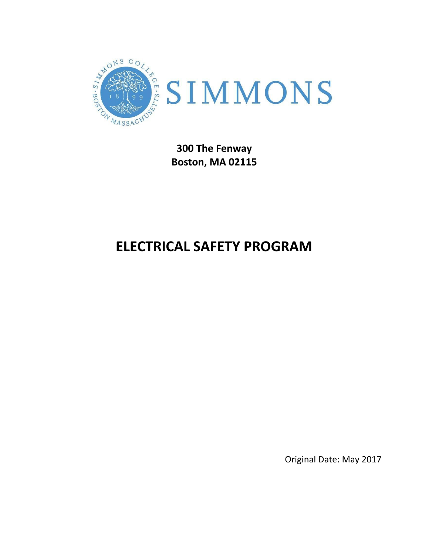

**300 The Fenway Boston, MA 02115**

# **ELECTRICAL SAFETY PROGRAM**

Original Date: May 2017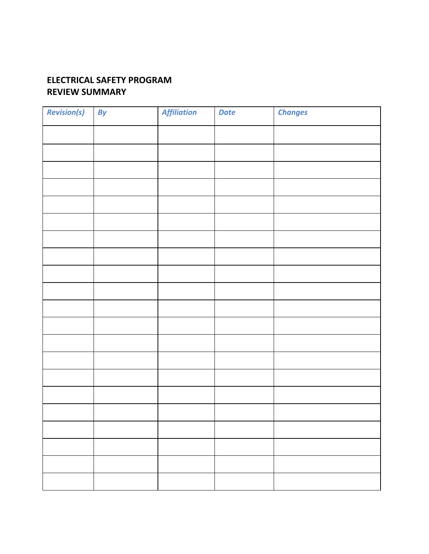# **ELECTRICAL SAFETY PROGRAM REVIEW SUMMARY**

| <b>Revision(s)</b> | By | <b>Affiliation</b> | <b>Date</b> | <b>Changes</b> |
|--------------------|----|--------------------|-------------|----------------|
|                    |    |                    |             |                |
|                    |    |                    |             |                |
|                    |    |                    |             |                |
|                    |    |                    |             |                |
|                    |    |                    |             |                |
|                    |    |                    |             |                |
|                    |    |                    |             |                |
|                    |    |                    |             |                |
|                    |    |                    |             |                |
|                    |    |                    |             |                |
|                    |    |                    |             |                |
|                    |    |                    |             |                |
|                    |    |                    |             |                |
|                    |    |                    |             |                |
|                    |    |                    |             |                |
|                    |    |                    |             |                |
|                    |    |                    |             |                |
|                    |    |                    |             |                |
|                    |    |                    |             |                |
|                    |    |                    |             |                |
|                    |    |                    |             |                |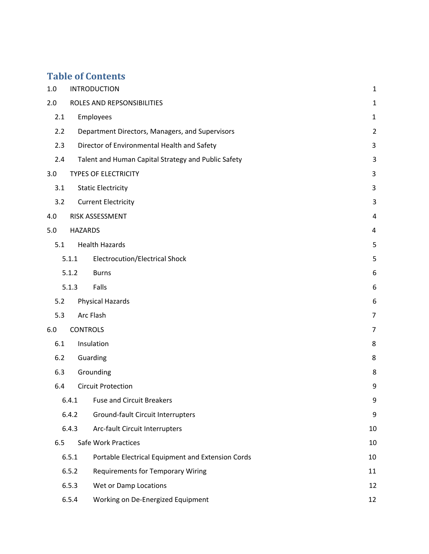# **Table of Contents**

| $1.0\,$ |                 | <b>INTRODUCTION</b>                                 | $\mathbf{1}$   |
|---------|-----------------|-----------------------------------------------------|----------------|
| 2.0     |                 | ROLES AND REPSONSIBILITIES                          | $\mathbf{1}$   |
| 2.1     |                 | Employees                                           | $\mathbf{1}$   |
| 2.2     |                 | Department Directors, Managers, and Supervisors     | $\overline{2}$ |
| 2.3     |                 | Director of Environmental Health and Safety         | $\mathbf{3}$   |
| 2.4     |                 | Talent and Human Capital Strategy and Public Safety | $\overline{3}$ |
| 3.0     |                 | <b>TYPES OF ELECTRICITY</b>                         | 3              |
| 3.1     |                 | <b>Static Electricity</b>                           | 3              |
| 3.2     |                 | <b>Current Electricity</b>                          | 3              |
| 4.0     |                 | RISK ASSESSMENT                                     | 4              |
| 5.0     | <b>HAZARDS</b>  |                                                     | 4              |
| 5.1     |                 | <b>Health Hazards</b>                               | 5              |
|         | 5.1.1           | Electrocution/Electrical Shock                      | 5              |
|         | 5.1.2           | <b>Burns</b>                                        | 6              |
|         | 5.1.3           | Falls                                               | 6              |
| 5.2     |                 | <b>Physical Hazards</b>                             | 6              |
| 5.3     |                 | Arc Flash                                           | $\overline{7}$ |
| 6.0     | <b>CONTROLS</b> |                                                     | $\overline{7}$ |
| 6.1     |                 | Insulation                                          | 8              |
| 6.2     |                 | Guarding                                            | 8              |
| 6.3     |                 | Grounding                                           | 8              |
| 6.4     |                 | <b>Circuit Protection</b>                           | 9              |
|         | 6.4.1           | <b>Fuse and Circuit Breakers</b>                    | 9              |
|         | 6.4.2           | Ground-fault Circuit Interrupters                   | 9              |
|         | 6.4.3           | Arc-fault Circuit Interrupters                      | 10             |
| 6.5     |                 | Safe Work Practices                                 | 10             |
|         | 6.5.1           | Portable Electrical Equipment and Extension Cords   | 10             |
|         | 6.5.2           | <b>Requirements for Temporary Wiring</b>            | 11             |
|         | 6.5.3           | Wet or Damp Locations                               | 12             |
|         | 6.5.4           | Working on De-Energized Equipment                   | 12             |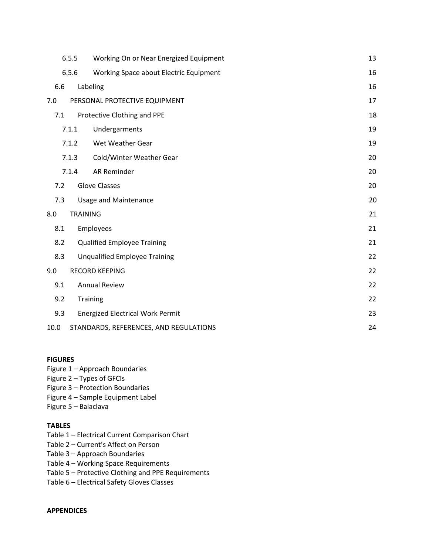|      | 6.5.5           | Working On or Near Energized Equipment  | 13 |
|------|-----------------|-----------------------------------------|----|
|      | 6.5.6           | Working Space about Electric Equipment  | 16 |
| 6.6  |                 | Labeling                                | 16 |
| 7.0  |                 | PERSONAL PROTECTIVE EQUIPMENT           | 17 |
| 7.1  |                 | Protective Clothing and PPE             | 18 |
|      | 7.1.1           | Undergarments                           | 19 |
|      | 7.1.2           | Wet Weather Gear                        | 19 |
|      | 7.1.3           | Cold/Winter Weather Gear                | 20 |
|      | 7.1.4           | AR Reminder                             | 20 |
| 7.2  |                 | <b>Glove Classes</b>                    | 20 |
| 7.3  |                 | <b>Usage and Maintenance</b>            | 20 |
| 8.0  | <b>TRAINING</b> |                                         | 21 |
| 8.1  |                 | Employees                               | 21 |
| 8.2  |                 | <b>Qualified Employee Training</b>      | 21 |
| 8.3  |                 | <b>Unqualified Employee Training</b>    | 22 |
| 9.0  |                 | <b>RECORD KEEPING</b>                   | 22 |
| 9.1  |                 | <b>Annual Review</b>                    | 22 |
| 9.2  |                 | Training                                | 22 |
| 9.3  |                 | <b>Energized Electrical Work Permit</b> | 23 |
| 10.0 |                 | STANDARDS, REFERENCES, AND REGULATIONS  | 24 |

#### **FIGURES**

- Figure 1 Approach Boundaries
- Figure 2 Types of GFCIs
- Figure 3 Protection Boundaries
- Figure 4 Sample Equipment Label
- Figure 5 Balaclava

#### **TABLES**

- Table 1 Electrical Current Comparison Chart
- Table 2 Current's Affect on Person
- Table 3 Approach Boundaries
- Table 4 Working Space Requirements
- Table 5 Protective Clothing and PPE Requirements
- Table 6 Electrical Safety Gloves Classes

#### **APPENDICES**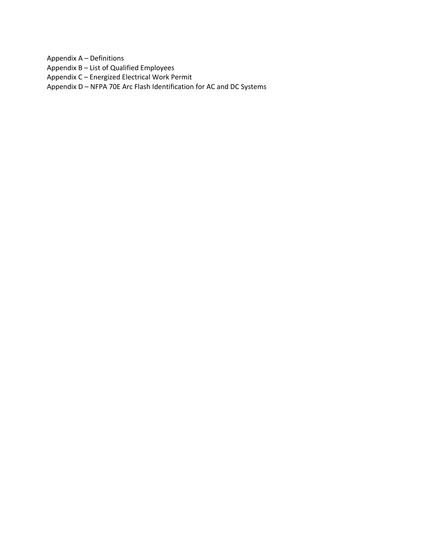Appendix A – Definitions

Appendix B – List of Qualified Employees

Appendix C – Energized Electrical Work Permit

Appendix D – NFPA 70E Arc Flash Identification for AC and DC Systems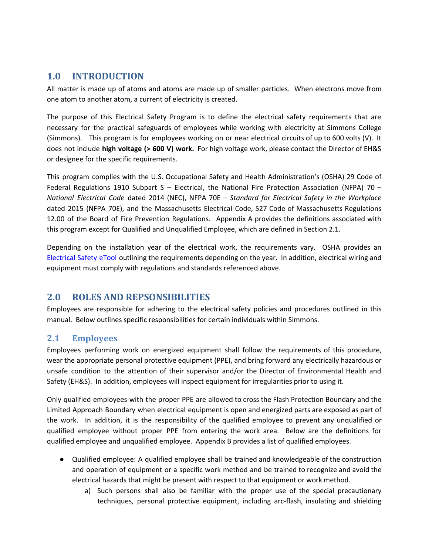# <span id="page-5-0"></span>**1.0 INTRODUCTION**

All matter is made up of atoms and atoms are made up of smaller particles. When electrons move from one atom to another atom, a current of electricity is created.

The purpose of this Electrical Safety Program is to define the electrical safety requirements that are necessary for the practical safeguards of employees while working with electricity at Simmons College (Simmons). This program is for employees working on or near electrical circuits of up to 600 volts (V). It does not include **high voltage (> 600 V) work.** For high voltage work, please contact the Director of EH&S or designee for the specific requirements.

This program complies with the U.S. Occupational Safety and Health Administration's (OSHA) 29 Code of Federal Regulations 1910 Subpart S – Electrical, the National Fire Protection Association (NFPA) 70 – *National Electrical Code* dated 2014 (NEC), NFPA 70E – *Standard for Electrical Safety in the Workplace* dated 2015 (NFPA 70E), and the Massachusetts Electrical Code, 527 Code of Massachusetts Regulations 12.00 of the Board of Fire Prevention Regulations. Appendix A provides the definitions associated with this program except for Qualified and Unqualified Employee, which are defined in Section 2.1.

Depending on the installation year of the electrical work, the requirements vary. OSHA provides an [Electrical](https://www.osha.gov/dsg/etools/subpartS/subpart_s_etool.html) Safety eTool outlining the requirements depending on the year. In addition, electrical wiring and equipment must comply with regulations and standards referenced above.

# <span id="page-5-1"></span>**2.0 ROLES AND REPSONSIBILITIES**

Employees are responsible for adhering to the electrical safety policies and procedures outlined in this manual. Below outlines specific responsibilities for certain individuals within Simmons.

# <span id="page-5-2"></span>**2.1 Employees**

Employees performing work on energized equipment shall follow the requirements of this procedure, wear the appropriate personal protective equipment (PPE), and bring forward any electrically hazardous or unsafe condition to the attention of their supervisor and/or the Director of Environmental Health and Safety (EH&S). In addition, employees will inspect equipment for irregularities prior to using it.

Only qualified employees with the proper PPE are allowed to cross the Flash Protection Boundary and the Limited Approach Boundary when electrical equipment is open and energized parts are exposed as part of the work. In addition, it is the responsibility of the qualified employee to prevent any unqualified or qualified employee without proper PPE from entering the work area. Below are the definitions for qualified employee and unqualified employee. Appendix B provides a list of qualified employees.

- Qualified employee: A qualified employee shall be trained and knowledgeable of the construction and operation of equipment or a specific work method and be trained to recognize and avoid the electrical hazards that might be present with respect to that equipment or work method.
	- a) Such persons shall also be familiar with the proper use of the special precautionary techniques, personal protective equipment, including arc-flash, insulating and shielding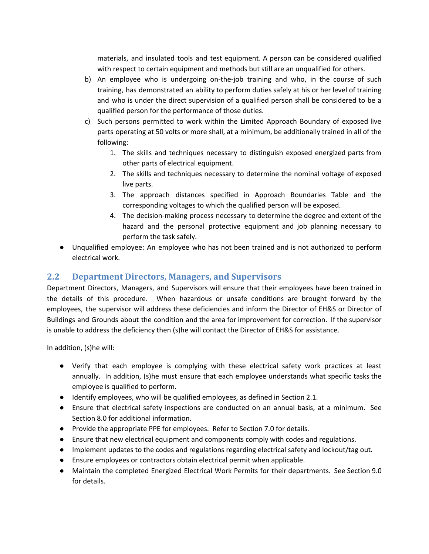materials, and insulated tools and test equipment. A person can be considered qualified with respect to certain equipment and methods but still are an unqualified for others.

- b) An employee who is undergoing on-the-job training and who, in the course of such training, has demonstrated an ability to perform duties safely at his or her level of training and who is under the direct supervision of a qualified person shall be considered to be a qualified person for the performance of those duties.
- c) Such persons permitted to work within the Limited Approach Boundary of exposed live parts operating at 50 volts or more shall, at a minimum, be additionally trained in all of the following:
	- 1. The skills and techniques necessary to distinguish exposed energized parts from other parts of electrical equipment.
	- 2. The skills and techniques necessary to determine the nominal voltage of exposed live parts.
	- 3. The approach distances specified in Approach Boundaries Table and the corresponding voltages to which the qualified person will be exposed.
	- 4. The decision-making process necessary to determine the degree and extent of the hazard and the personal protective equipment and job planning necessary to perform the task safely.
- Unqualified employee: An employee who has not been trained and is not authorized to perform electrical work.

# <span id="page-6-0"></span>**2.2 Department Directors, Managers, and Supervisors**

Department Directors, Managers, and Supervisors will ensure that their employees have been trained in the details of this procedure. When hazardous or unsafe conditions are brought forward by the employees, the supervisor will address these deficiencies and inform the Director of EH&S or Director of Buildings and Grounds about the condition and the area for improvement for correction. If the supervisor is unable to address the deficiency then (s)he will contact the Director of EH&S for assistance.

In addition, (s)he will:

- Verify that each employee is complying with these electrical safety work practices at least annually. In addition, (s)he must ensure that each employee understands what specific tasks the employee is qualified to perform.
- Identify employees, who will be qualified employees, as defined in Section 2.1.
- Ensure that electrical safety inspections are conducted on an annual basis, at a minimum. See Section 8.0 for additional information.
- Provide the appropriate PPE for employees. Refer to Section 7.0 for details.
- Ensure that new electrical equipment and components comply with codes and regulations.
- Implement updates to the codes and regulations regarding electrical safety and lockout/tag out.
- Ensure employees or contractors obtain electrical permit when applicable.
- Maintain the completed Energized Electrical Work Permits for their departments. See Section 9.0 for details.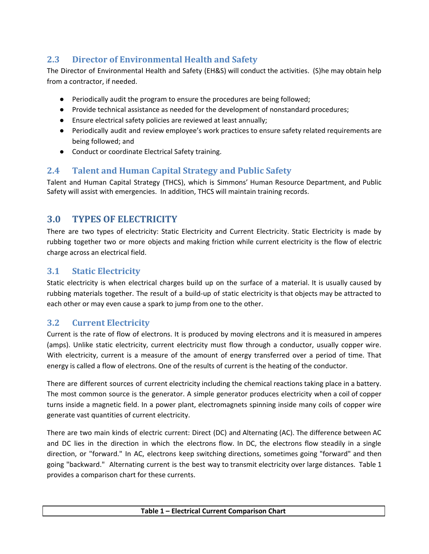# <span id="page-7-0"></span>**2.3 Director of Environmental Health and Safety**

The Director of Environmental Health and Safety (EH&S) will conduct the activities. (S)he may obtain help from a contractor, if needed.

- Periodically audit the program to ensure the procedures are being followed;
- Provide technical assistance as needed for the development of nonstandard procedures;
- Ensure electrical safety policies are reviewed at least annually;
- Periodically audit and review employee's work practices to ensure safety related requirements are being followed; and
- Conduct or coordinate Electrical Safety training.

# <span id="page-7-1"></span>**2.4 Talent and Human Capital Strategy and Public Safety**

Talent and Human Capital Strategy (THCS), which is Simmons' Human Resource Department, and Public Safety will assist with emergencies. In addition, THCS will maintain training records.

# <span id="page-7-2"></span>**3.0 TYPES OF ELECTRICITY**

There are two types of electricity: Static Electricity and Current Electricity. Static Electricity is made by rubbing together two or more objects and making friction while current electricity is the flow of electric charge across an electrical field.

# <span id="page-7-3"></span>**3.1 Static Electricity**

Static electricity is when electrical charges build up on the surface of a material. It is usually caused by rubbing materials together. The result of a build-up of static electricity is that objects may be attracted to each other or may even cause a spark to jump from one to the other.

# <span id="page-7-4"></span>**3.2 Current Electricity**

Current is the rate of flow of electrons. It is produced by moving electrons and it is measured in amperes (amps). Unlike static electricity, current electricity must flow through a conductor, usually copper wire. With electricity, current is a measure of the amount of energy transferred over a period of time. That energy is called a flow of electrons. One of the results of current is the heating of the conductor.

There are different sources of current electricity including the chemical reactions taking place in a battery. The most common source is the generator. A simple generator produces electricity when a coil of copper turns inside a magnetic field. In a power plant, electromagnets spinning inside many coils of copper wire generate vast quantities of current electricity.

There are two main kinds of electric current: Direct (DC) and Alternating (AC). The difference between AC and DC lies in the direction in which the electrons flow. In DC, the electrons flow steadily in a single direction, or "forward." In AC, electrons keep switching directions, sometimes going "forward" and then going "backward." Alternating current is the best way to transmit electricity over large distances. Table 1 provides a comparison chart for these currents.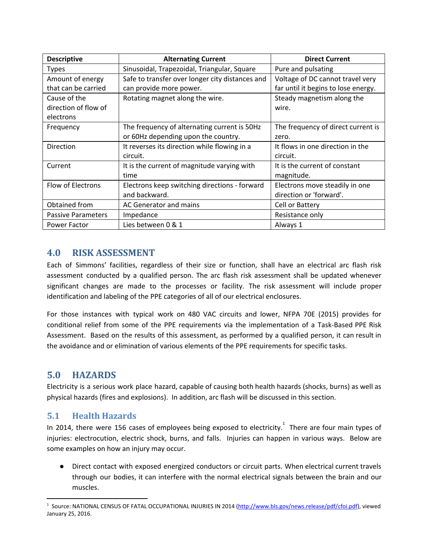| <b>Descriptive</b>        | <b>Alternating Current</b>                      | <b>Direct Current</b>               |
|---------------------------|-------------------------------------------------|-------------------------------------|
| <b>Types</b>              | Sinusoidal, Trapezoidal, Triangular, Square     | Pure and pulsating                  |
| Amount of energy          | Safe to transfer over longer city distances and | Voltage of DC cannot travel very    |
| that can be carried       | can provide more power.                         | far until it begins to lose energy. |
| Cause of the              | Rotating magnet along the wire.                 | Steady magnetism along the          |
| direction of flow of      |                                                 | wire.                               |
| electrons                 |                                                 |                                     |
| Frequency                 | The frequency of alternating current is 50Hz    | The frequency of direct current is  |
|                           | or 60Hz depending upon the country.             | zero.                               |
| Direction                 | It reverses its direction while flowing in a    | It flows in one direction in the    |
|                           | circuit.                                        | circuit.                            |
| Current                   | It is the current of magnitude varying with     | It is the current of constant       |
|                           | time                                            | magnitude.                          |
| Flow of Electrons         | Electrons keep switching directions - forward   | Electrons move steadily in one      |
|                           | and backward.                                   | direction or 'forward'.             |
| Obtained from             | AC Generator and mains                          | Cell or Battery                     |
| <b>Passive Parameters</b> | Impedance                                       | Resistance only                     |
| <b>Power Factor</b>       | Lies between 0 & 1                              | Always 1                            |

# <span id="page-8-0"></span>**4.0 RISK ASSESSMENT**

Each of Simmons' facilities, regardless of their size or function, shall have an electrical arc flash risk assessment conducted by a qualified person. The arc flash risk assessment shall be updated whenever significant changes are made to the processes or facility. The risk assessment will include proper identification and labeling of the PPE categories of all of our electrical enclosures.

For those instances with typical work on 480 VAC circuits and lower, NFPA 70E (2015) provides for conditional relief from some of the PPE requirements via the implementation of a Task-Based PPE Risk Assessment. Based on the results of this assessment, as performed by a qualified person, it can result in the avoidance and or elimination of various elements of the PPE requirements for specific tasks.

# <span id="page-8-1"></span>**5.0 HAZARDS**

Electricity is a serious work place hazard, capable of causing both health hazards (shocks, burns) as well as physical hazards (fires and explosions). In addition, arc flash will be discussed in this section.

# <span id="page-8-2"></span>**5.1 Health Hazards**

In 2014, there were 156 cases of employees being exposed to electricity.<sup>1</sup> There are four main types of injuries: electrocution, electric shock, burns, and falls. Injuries can happen in various ways. Below are some examples on how an injury may occur.

● Direct contact with exposed energized conductors or circuit parts. When electrical current travels through our bodies, it can interfere with the normal electrical signals between the brain and our muscles.

<sup>&</sup>lt;sup>1</sup> Source: NATIONAL CENSUS OF FATAL OCCUPATIONAL INJURIES IN 2014 (<u><http://www.bls.gov/news.release/pdf/cfoi.pdf>),</u> viewed January 25, 2016.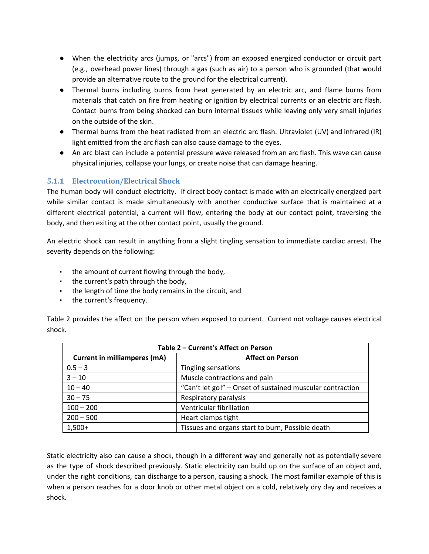- When the electricity arcs (jumps, or "arcs") from an exposed energized conductor or circuit part (e.g., overhead power lines) through a gas (such as air) to a person who is grounded (that would provide an alternative route to the ground for the electrical current).
- Thermal burns including burns from heat generated by an electric arc, and flame burns from materials that catch on fire from heating or ignition by electrical currents or an electric arc flash. Contact burns from being shocked can burn internal tissues while leaving only very small injuries on the outside of the skin.
- Thermal burns from the heat radiated from an electric arc flash. Ultraviolet (UV) and infrared (IR) light emitted from the arc flash can also cause damage to the eyes.
- An arc blast can include a potential pressure wave released from an arc flash. This wave can cause physical injuries, collapse your lungs, or create noise that can damage hearing.

### <span id="page-9-0"></span>**5.1.1 Electrocution/Electrical Shock**

The human body will conduct electricity. If direct body contact is made with an electrically energized part while similar contact is made simultaneously with another conductive surface that is maintained at a different electrical potential, a current will flow, entering the body at our contact point, traversing the body, and then exiting at the other contact point, usually the ground.

An electric shock can result in anything from a slight tingling sensation to immediate cardiac arrest. The severity depends on the following:

- the amount of current flowing through the body,
- the current's path through the body,
- the length of time the body remains in the circuit, and
- the current's frequency.

Table 2 provides the affect on the person when exposed to current. Current not voltage causes electrical shock.

| Table 2 - Current's Affect on Person |                                                           |  |
|--------------------------------------|-----------------------------------------------------------|--|
| <b>Current in milliamperes (mA)</b>  | <b>Affect on Person</b>                                   |  |
| $0.5 - 3$                            | Tingling sensations                                       |  |
| $3 - 10$                             | Muscle contractions and pain                              |  |
| $10 - 40$                            | "Can't let go!" - Onset of sustained muscular contraction |  |
| $30 - 75$                            | Respiratory paralysis                                     |  |
| $100 - 200$                          | Ventricular fibrillation                                  |  |
| $200 - 500$                          | Heart clamps tight                                        |  |
| $1,500+$                             | Tissues and organs start to burn, Possible death          |  |

Static electricity also can cause a shock, though in a different way and generally not as potentially severe as the type of shock described previously. Static electricity can build up on the surface of an object and, under the right conditions, can discharge to a person, causing a shock. The most familiar example of this is when a person reaches for a door knob or other metal object on a cold, relatively dry day and receives a shock.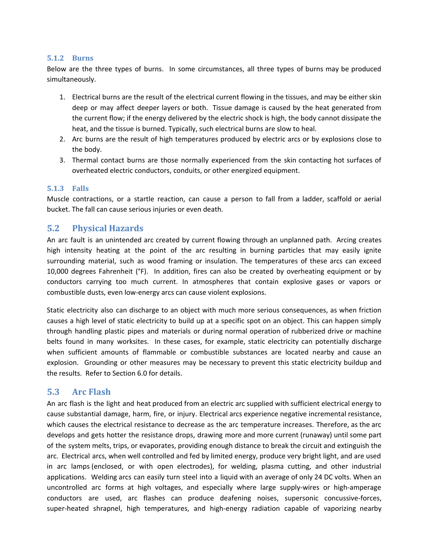#### <span id="page-10-0"></span>**5.1.2 Burns**

Below are the three types of burns. In some circumstances, all three types of burns may be produced simultaneously.

- 1. Electrical burns are the result of the electrical current flowing in the tissues, and may be either skin deep or may affect deeper layers or both. Tissue damage is caused by the heat generated from the current flow; if the energy delivered by the electric shock is high, the body cannot dissipate the heat, and the tissue is burned. Typically, such electrical burns are slow to heal.
- 2. Arc burns are the result of high temperatures produced by electric arcs or by explosions close to the body.
- 3. Thermal contact burns are those normally experienced from the skin contacting hot surfaces of overheated electric conductors, conduits, or other energized equipment.

#### <span id="page-10-1"></span>**5.1.3 Falls**

Muscle contractions, or a startle reaction, can cause a person to fall from a ladder, scaffold or aerial bucket. The fall can cause serious injuries or even death.

#### <span id="page-10-2"></span>**5.2 Physical Hazards**

An arc fault is an unintended arc created by current flowing through an unplanned path. Arcing creates high intensity heating at the point of the arc resulting in burning particles that may easily ignite surrounding material, such as wood framing or insulation. The temperatures of these arcs can exceed 10,000 degrees Fahrenheit (°F). In addition, fires can also be created by overheating equipment or by conductors carrying too much current. In atmospheres that contain explosive gases or vapors or combustible dusts, even low-energy arcs can cause violent explosions.

Static electricity also can discharge to an object with much more serious consequences, as when friction causes a high level of static electricity to build up at a specific spot on an object. This can happen simply through handling plastic pipes and materials or during normal operation of rubberized drive or machine belts found in many worksites. In these cases, for example, static electricity can potentially discharge when sufficient amounts of flammable or combustible substances are located nearby and cause an explosion. Grounding or other measures may be necessary to prevent this static electricity buildup and the results. Refer to Section 6.0 for details.

#### <span id="page-10-3"></span>**5.3 Arc Flash**

An arc flash is the light and heat produced from an electric arc supplied with sufficient electrical energy to cause substantial damage, harm, fire, or injury. Electrical arcs experience negative incremental resistance, which causes the electrical resistance to decrease as the arc temperature increases. Therefore, as the arc develops and gets hotter the resistance drops, drawing more and more current (runaway) until some part of the system melts, trips, or evaporates, providing enough distance to break the circuit and extinguish the arc. Electrical arcs, when well controlled and fed by limited energy, produce very bright light, and are used in arc lamps (enclosed, or with open electrodes), for welding, plasma cutting, and other industrial applications. Welding arcs can easily turn steel into a liquid with an average of only 24 DC volts. When an uncontrolled arc forms at high voltages, and especially where large supply-wires or high-amperage conductors are used, arc flashes can produce deafening noises, supersonic concussive-forces, super-heated shrapnel, high temperatures, and high-energy radiation capable of vaporizing nearby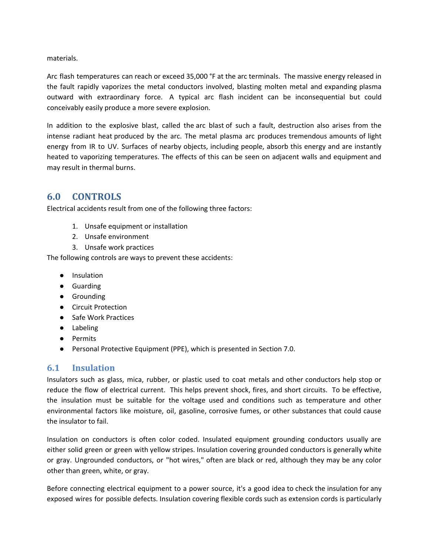materials.

Arc flash temperatures can reach or exceed 35,000 °F at the arc terminals. The massive energy released in the fault rapidly vaporizes the metal conductors involved, blasting molten metal and expanding plasma outward with extraordinary force. A typical arc flash incident can be inconsequential but could conceivably easily produce a more severe explosion.

In addition to the explosive blast, called the arc blast of such a fault, destruction also arises from the intense radiant heat produced by the arc. The metal plasma arc produces tremendous amounts of light energy from IR to UV. Surfaces of nearby objects, including people, absorb this energy and are instantly heated to vaporizing temperatures. The effects of this can be seen on adjacent walls and equipment and may result in thermal burns.

# <span id="page-11-0"></span>**6.0 CONTROLS**

Electrical accidents result from one of the following three factors:

- 1. Unsafe equipment or installation
- 2. Unsafe environment
- 3. Unsafe work practices

The following controls are ways to prevent these accidents:

- Insulation
- Guarding
- Grounding
- Circuit Protection
- Safe Work Practices
- Labeling
- Permits
- Personal Protective Equipment (PPE), which is presented in Section 7.0.

# <span id="page-11-1"></span>**6.1 Insulation**

Insulators such as glass, mica, rubber, or plastic used to coat metals and other conductors help stop or reduce the flow of electrical current. This helps prevent shock, fires, and short circuits. To be effective, the insulation must be suitable for the voltage used and conditions such as temperature and other environmental factors like moisture, oil, gasoline, corrosive fumes, or other substances that could cause the insulator to fail.

Insulation on conductors is often color coded. Insulated equipment grounding conductors usually are either solid green or green with yellow stripes. Insulation covering grounded conductors is generally white or gray. Ungrounded conductors, or "hot wires," often are black or red, although they may be any color other than green, white, or gray.

Before connecting electrical equipment to a power source, it's a good idea to check the insulation for any exposed wires for possible defects. Insulation covering flexible cords such as extension cords is particularly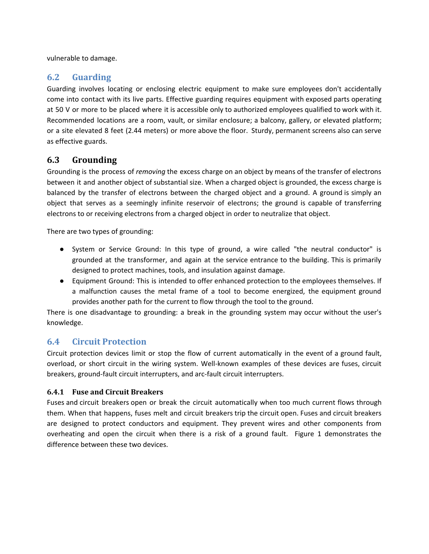vulnerable to damage.

### <span id="page-12-0"></span>**6.2 Guarding**

Guarding involves locating or enclosing electric equipment to make sure employees don't accidentally come into contact with its live parts. Effective guarding requires equipment with exposed parts operating at 50 V or more to be placed where it is accessible only to authorized employees qualified to work with it. Recommended locations are a room, vault, or similar enclosure; a balcony, gallery, or elevated platform; or a site elevated 8 feet (2.44 meters) or more above the floor. Sturdy, permanent screens also can serve as effective guards.

# <span id="page-12-1"></span>**6.3 Grounding**

Grounding is the process of *removing* the excess charge on an object by means of the transfer of electrons between it and another object of substantial size. When a charged object is grounded, the excess charge is balanced by the transfer of electrons between the charged object and a ground. A ground is simply an object that serves as a seemingly infinite reservoir of electrons; the ground is capable of transferring electrons to or receiving electrons from a charged object in order to neutralize that object.

There are two types of grounding:

- System or Service Ground: In this type of ground, a wire called "the neutral conductor" is grounded at the transformer, and again at the service entrance to the building. This is primarily designed to protect machines, tools, and insulation against damage.
- Equipment Ground: This is intended to offer enhanced protection to the employees themselves. If a malfunction causes the metal frame of a tool to become energized, the equipment ground provides another path for the current to flow through the tool to the ground.

There is one disadvantage to grounding: a break in the grounding system may occur without the user's knowledge.

# <span id="page-12-2"></span>**6.4 Circuit Protection**

Circuit protection devices limit or stop the flow of current automatically in the event of a ground fault, overload, or short circuit in the wiring system. Well-known examples of these devices are fuses, circuit breakers, ground-fault circuit interrupters, and arc-fault circuit interrupters.

#### <span id="page-12-3"></span>**6.4.1 Fuse and Circuit Breakers**

Fuses and circuit breakers open or break the circuit automatically when too much current flows through them. When that happens, fuses melt and circuit breakers trip the circuit open. Fuses and circuit breakers are designed to protect conductors and equipment. They prevent wires and other components from overheating and open the circuit when there is a risk of a ground fault. Figure 1 demonstrates the difference between these two devices.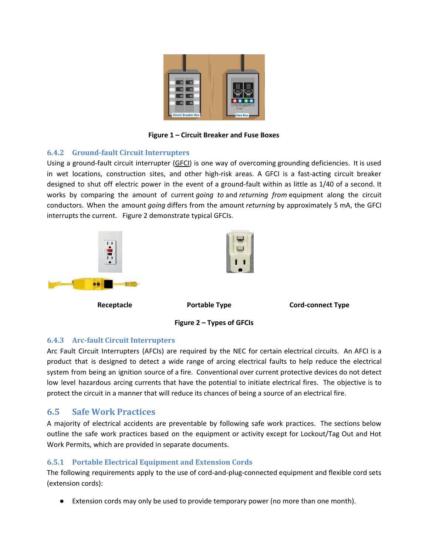

**Figure 1 – Circuit Breaker and Fuse Boxes**

#### <span id="page-13-0"></span>**6.4.2 Ground-fault Circuit Interrupters**

Using a ground-fault circuit interrupter ([GFCI\)](https://www.osha.gov/SLTC/etools/construction/electrical_incidents/gfci.html) is one way of overcoming grounding deficiencies. It is used in wet locations, construction sites, and other high-risk areas. A GFCI is a fast-acting circuit breaker designed to shut off electric power in the event of a ground-fault within as little as 1/40 of a second. It works by comparing the amount of current *going to* and *returning from* equipment along the circuit conductors. When the amount *going* differs from the amount *returning* by approximately 5 [mA](https://www.osha.gov/SLTC/etools/construction/glossary.html#milliampere), the GFCI interrupts the current. Figure 2 demonstrate typical GFCIs.



### <span id="page-13-1"></span>**6.4.3 Arc-fault Circuit Interrupters**

Arc Fault Circuit Interrupters (AFCIs) are required by the NEC for certain electrical circuits. An AFCI is a product that is designed to detect a wide range of arcing electrical faults to help reduce the electrical system from being an ignition source of a fire. Conventional over current protective devices do not detect low level hazardous arcing currents that have the potential to initiate electrical fires. The objective is to protect the circuit in a manner that will reduce its chances of being a source of an electrical fire.

# <span id="page-13-2"></span>**6.5 Safe Work Practices**

A majority of electrical accidents are preventable by following safe work practices. The sections below outline the safe work practices based on the equipment or activity except for Lockout/Tag Out and Hot Work Permits, which are provided in separate documents.

### <span id="page-13-3"></span>**6.5.1 Portable Electrical Equipment and Extension Cords**

The following requirements apply to the use of cord-and-plug-connected equipment and flexible cord sets (extension cords):

Extension cords may only be used to provide temporary power (no more than one month).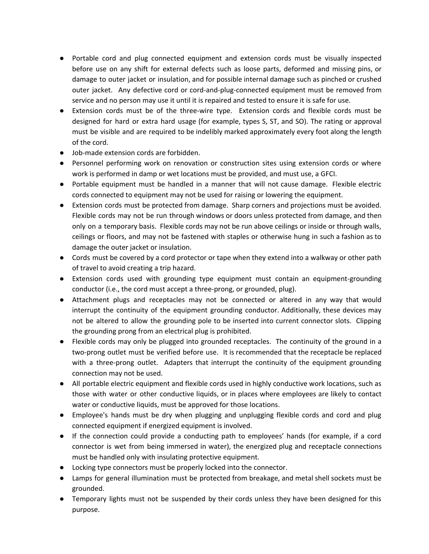- Portable cord and plug connected equipment and extension cords must be visually inspected before use on any shift for external defects such as loose parts, deformed and missing pins, or damage to outer jacket or insulation, and for possible internal damage such as pinched or crushed outer jacket. Any defective cord or cord-and-plug-connected equipment must be removed from service and no person may use it until it is repaired and tested to ensure it is safe for use.
- Extension cords must be of the three-wire type. Extension cords and flexible cords must be designed for hard or extra hard usage (for example, types S, ST, and SO). The rating or approval must be visible and are required to be indelibly marked approximately every foot along the length of the cord.
- Job-made extension cords are forbidden.
- Personnel performing work on renovation or construction sites using extension cords or where work is performed in damp or wet locations must be provided, and must use, a GFCI.
- Portable equipment must be handled in a manner that will not cause damage. Flexible electric cords connected to equipment may not be used for raising or lowering the equipment.
- Extension cords must be protected from damage. Sharp corners and projections must be avoided. Flexible cords may not be run through windows or doors unless protected from damage, and then only on a temporary basis. Flexible cords may not be run above ceilings or inside or through walls, ceilings or floors, and may not be fastened with staples or otherwise hung in such a fashion as to damage the outer jacket or insulation.
- Cords must be covered by a cord protector or tape when they extend into a walkway or other path of travel to avoid creating a trip hazard.
- Extension cords used with grounding type equipment must contain an equipment-grounding conductor (i.e., the cord must accept a three-prong, or grounded, plug).
- Attachment plugs and receptacles may not be connected or altered in any way that would interrupt the continuity of the equipment grounding conductor. Additionally, these devices may not be altered to allow the grounding pole to be inserted into current connector slots. Clipping the grounding prong from an electrical plug is prohibited.
- Flexible cords may only be plugged into grounded receptacles. The continuity of the ground in a two-prong outlet must be verified before use. It is recommended that the receptacle be replaced with a three-prong outlet. Adapters that interrupt the continuity of the equipment grounding connection may not be used.
- All portable electric equipment and flexible cords used in highly conductive work locations, such as those with water or other conductive liquids, or in places where employees are likely to contact water or conductive liquids, must be approved for those locations.
- Employee's hands must be dry when plugging and unplugging flexible cords and cord and plug connected equipment if energized equipment is involved.
- If the connection could provide a conducting path to employees' hands (for example, if a cord connector is wet from being immersed in water), the energized plug and receptacle connections must be handled only with insulating protective equipment.
- Locking type connectors must be properly locked into the connector.
- Lamps for general illumination must be protected from breakage, and metal shell sockets must be grounded.
- Temporary lights must not be suspended by their cords unless they have been designed for this purpose.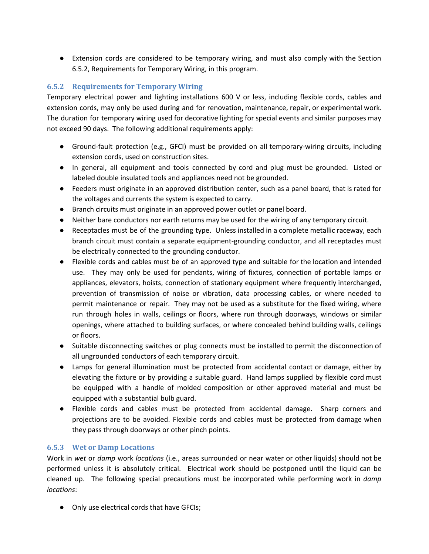● Extension cords are considered to be temporary wiring, and must also comply with the Section 6.5.2, Requirements for Temporary Wiring, in this program.

### <span id="page-15-0"></span>**6.5.2 Requirements for Temporary Wiring**

Temporary electrical power and lighting installations 600 V or less, including flexible cords, cables and extension cords, may only be used during and for renovation, maintenance, repair, or experimental work. The duration for temporary wiring used for decorative lighting for special events and similar purposes may not exceed 90 days. The following additional requirements apply:

- Ground-fault protection (e.g., GFCI) must be provided on all temporary-wiring circuits, including extension cords, used on construction sites.
- In general, all equipment and tools connected by cord and plug must be grounded. Listed or labeled double insulated tools and appliances need not be grounded.
- Feeders must originate in an approved distribution center, such as a panel board, that is rated for the voltages and currents the system is expected to carry.
- Branch circuits must originate in an approved power outlet or panel board.
- Neither bare conductors nor earth returns may be used for the wiring of any temporary circuit.
- Receptacles must be of the grounding type. Unless installed in a complete metallic raceway, each branch circuit must contain a separate equipment-grounding conductor, and all receptacles must be electrically connected to the grounding conductor.
- Flexible cords and cables must be of an approved type and suitable for the location and intended use. They may only be used for pendants, wiring of fixtures, connection of portable lamps or appliances, elevators, hoists, connection of stationary equipment where frequently interchanged, prevention of transmission of noise or vibration, data processing cables, or where needed to permit maintenance or repair. They may not be used as a substitute for the fixed wiring, where run through holes in walls, ceilings or floors, where run through doorways, windows or similar openings, where attached to building surfaces, or where concealed behind building walls, ceilings or floors.
- Suitable disconnecting switches or plug connects must be installed to permit the disconnection of all ungrounded conductors of each temporary circuit.
- Lamps for general illumination must be protected from accidental contact or damage, either by elevating the fixture or by providing a suitable guard. Hand lamps supplied by flexible cord must be equipped with a handle of molded composition or other approved material and must be equipped with a substantial bulb guard.
- Flexible cords and cables must be protected from accidental damage. Sharp corners and projections are to be avoided. Flexible cords and cables must be protected from damage when they pass through doorways or other pinch points.

### <span id="page-15-1"></span>**6.5.3 Wet or Damp Locations**

Work in *wet* or *damp* work *locations* (i.e., areas surrounded or near water or other liquids) should not be performed unless it is absolutely critical. Electrical work should be postponed until the liquid can be cleaned up. The following special precautions must be incorporated while performing work in *damp locations*:

● Only use electrical cords that have GFCIs;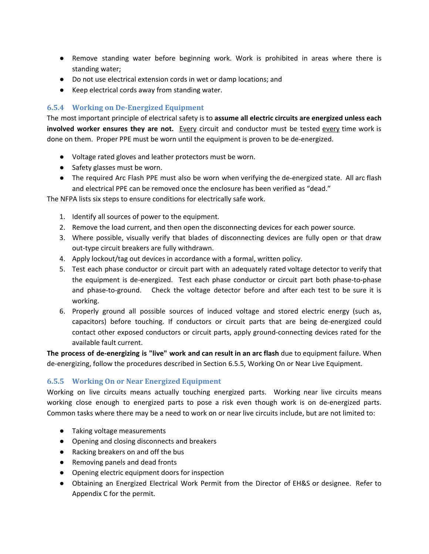- Remove standing water before beginning work. Work is prohibited in areas where there is standing water;
- Do not use electrical extension cords in wet or damp locations; and
- Keep electrical cords away from standing water.

#### <span id="page-16-0"></span>**6.5.4 Working on De-Energized Equipment**

The most important principle of electrical safety is to **assume all electric circuits are energized unless each involved worker ensures they are not.** Every circuit and conductor must be tested every time work is done on them. Proper PPE must be worn until the equipment is proven to be de-energized.

- Voltage rated gloves and leather protectors must be worn.
- Safety glasses must be worn.
- The required Arc Flash PPE must also be worn when verifying the de-energized state. All arc flash and electrical PPE can be removed once the enclosure has been verified as "dead."

The NFPA lists six steps to ensure conditions for electrically safe work.

- 1. Identify all sources of power to the equipment.
- 2. Remove the load current, and then open the disconnecting devices for each power source.
- 3. Where possible, visually verify that blades of disconnecting devices are fully open or that draw out-type circuit breakers are fully withdrawn.
- 4. Apply lockout/tag out devices in accordance with a formal, written policy.
- 5. Test each phase conductor or circuit part with an adequately rated voltage detector to verify that the equipment is de-energized. Test each phase conductor or circuit part both phase-to-phase and phase-to-ground. Check the voltage detector before and after each test to be sure it is working.
- 6. Properly ground all possible sources of induced voltage and stored electric energy (such as, capacitors) before touching. If conductors or circuit parts that are being de-energized could contact other exposed conductors or circuit parts, apply ground-connecting devices rated for the available fault current.

**The process of de-energizing is "live" work and can result in an arc flash** due to equipment failure. When de-energizing, follow the procedures described in Section 6.5.5, Working On or Near Live Equipment.

#### <span id="page-16-1"></span>**6.5.5 Working On or Near Energized Equipment**

Working on live circuits means actually touching energized parts. Working near live circuits means working close enough to energized parts to pose a risk even though work is on de-energized parts. Common tasks where there may be a need to work on or near live circuits include, but are not limited to:

- Taking voltage measurements
- Opening and closing disconnects and breakers
- Racking breakers on and off the bus
- Removing panels and dead fronts
- Opening electric equipment doors for inspection
- Obtaining an Energized Electrical Work Permit from the Director of EH&S or designee. Refer to Appendix C for the permit.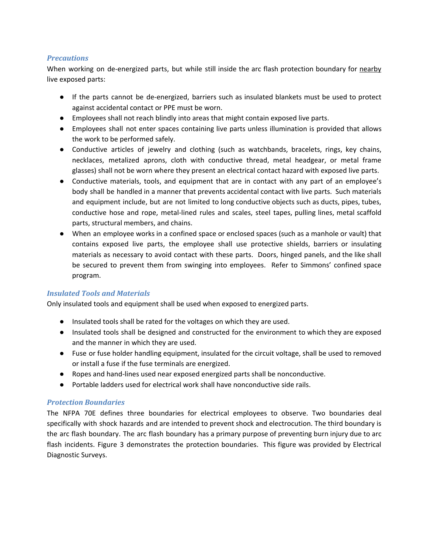#### *Precautions*

When working on de-energized parts, but while still inside the arc flash protection boundary for nearby live exposed parts:

- If the parts cannot be de-energized, barriers such as insulated blankets must be used to protect against accidental contact or PPE must be worn.
- Employees shall not reach blindly into areas that might contain exposed live parts.
- Employees shall not enter spaces containing live parts unless illumination is provided that allows the work to be performed safely.
- Conductive articles of jewelry and clothing (such as watchbands, bracelets, rings, key chains, necklaces, metalized aprons, cloth with conductive thread, metal headgear, or metal frame glasses) shall not be worn where they present an electrical contact hazard with exposed live parts.
- Conductive materials, tools, and equipment that are in contact with any part of an employee's body shall be handled in a manner that prevents accidental contact with live parts. Such materials and equipment include, but are not limited to long conductive objects such as ducts, pipes, tubes, conductive hose and rope, metal-lined rules and scales, steel tapes, pulling lines, metal scaffold parts, structural members, and chains.
- **●** When an employee works in a confined space or enclosed spaces (such as a manhole or vault) that contains exposed live parts, the employee shall use protective shields, barriers or insulating materials as necessary to avoid contact with these parts. Doors, hinged panels, and the like shall be secured to prevent them from swinging into employees. Refer to Simmons' confined space program.

#### *Insulated Tools and Materials*

Only insulated tools and equipment shall be used when exposed to energized parts.

- Insulated tools shall be rated for the voltages on which they are used.
- Insulated tools shall be designed and constructed for the environment to which they are exposed and the manner in which they are used.
- Fuse or fuse holder handling equipment, insulated for the circuit voltage, shall be used to removed or install a fuse if the fuse terminals are energized.
- Ropes and hand-lines used near exposed energized parts shall be nonconductive.
- Portable ladders used for electrical work shall have nonconductive side rails.

#### *Protection Boundaries*

The NFPA 70E defines three boundaries for electrical employees to observe. Two boundaries deal specifically with shock hazards and are intended to prevent shock and electrocution. The third boundary is the arc flash boundary. The arc flash boundary has a primary purpose of preventing burn injury due to arc flash incidents. Figure 3 demonstrates the protection boundaries. This figure was provided by Electrical Diagnostic Surveys.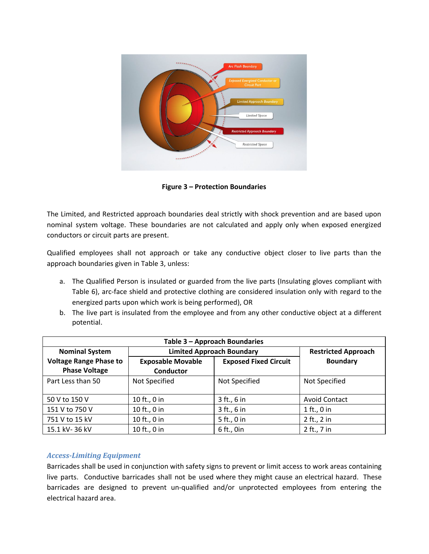

**Figure 3 – Protection Boundaries**

The Limited, and Restricted approach boundaries deal strictly with shock prevention and are based upon nominal system voltage. These boundaries are not calculated and apply only when exposed energized conductors or circuit parts are present.

Qualified employees shall not approach or take any conductive object closer to live parts than the approach boundaries given in Table 3, unless:

- a. The Qualified Person is insulated or guarded from the live parts (Insulating gloves compliant with Table 6), arc-face shield and protective clothing are considered insulation only with regard to the energized parts upon which work is being performed), OR
- b. The live part is insulated from the employee and from any other conductive object at a different potential.

| Table 3 - Approach Boundaries |                                  |                              |                            |
|-------------------------------|----------------------------------|------------------------------|----------------------------|
| <b>Nominal System</b>         | <b>Limited Approach Boundary</b> |                              | <b>Restricted Approach</b> |
| <b>Voltage Range Phase to</b> | <b>Exposable Movable</b>         | <b>Exposed Fixed Circuit</b> | <b>Boundary</b>            |
| <b>Phase Voltage</b>          | <b>Conductor</b>                 |                              |                            |
| Part Less than 50             | Not Specified                    | Not Specified                | Not Specified              |
|                               |                                  |                              |                            |
| 50 V to 150 V                 | 10 ft., 0 in                     | 3 ft., 6 in                  | <b>Avoid Contact</b>       |
| 151 V to 750 V                | 10 ft., 0 in                     | 3 ft., 6 in                  | 1 ft., 0 in                |
| 751 V to 15 kV                | 10 ft., 0 in                     | 5 ft., 0 in                  | 2 ft., 2 in                |
| 15.1 kV-36 kV                 | 10 ft., 0 in                     | 6 ft., 0in                   | 2 ft., 7 in                |

#### *Access-Limiting Equipment*

Barricades shall be used in conjunction with safety signs to prevent or limit access to work areas containing live parts. Conductive barricades shall not be used where they might cause an electrical hazard. These barricades are designed to prevent un-qualified and/or unprotected employees from entering the electrical hazard area.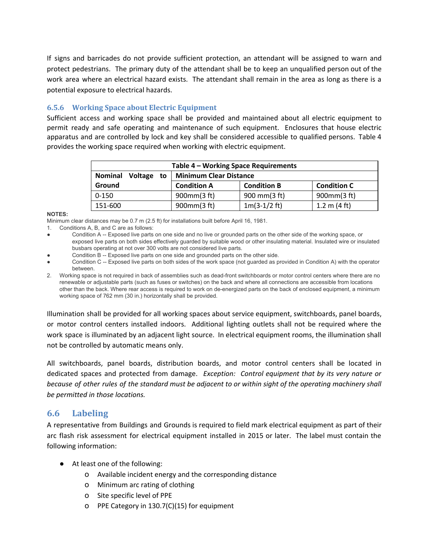If signs and barricades do not provide sufficient protection, an attendant will be assigned to warn and protect pedestrians. The primary duty of the attendant shall be to keep an unqualified person out of the work area where an electrical hazard exists. The attendant shall remain in the area as long as there is a potential exposure to electrical hazards.

### <span id="page-19-0"></span>**6.5.6 Working Space about Electric Equipment**

Sufficient access and working space shall be provided and maintained about all electric equipment to permit ready and safe operating and maintenance of such equipment. Enclosures that house electric apparatus and are controlled by lock and key shall be considered accessible to qualified persons. Table 4 provides the working space required when working with electric equipment.

| Table 4 - Working Space Requirements |                               |                    |                        |
|--------------------------------------|-------------------------------|--------------------|------------------------|
| <b>Nominal</b><br>Voltage<br>to      | <b>Minimum Clear Distance</b> |                    |                        |
| Ground                               | <b>Condition A</b>            | <b>Condition B</b> | <b>Condition C</b>     |
| $0 - 150$                            | $900$ mm $(3 ft)$             | 900 mm(3 ft)       | 900mm(3 ft)            |
| 151-600                              | 900mm(3 ft)                   | $1m(3-1/2)$ ft)    | 1.2 m $(4 \text{ ft})$ |

#### **NOTES:**

Minimum clear distances may be 0.7 m (2.5 ft) for installations built before April 16, 1981.

- 1. Conditions A, B, and C are as follows:
- Condition A -- Exposed live parts on one side and no live or grounded parts on the other side of the working space, or exposed live parts on both sides effectively guarded by suitable wood or other insulating material. Insulated wire or insulated busbars operating at not over 300 volts are not considered live parts.
- Condition B -- Exposed live parts on one side and grounded parts on the other side.
- Condition C -- Exposed live parts on both sides of the work space (not guarded as provided in Condition A) with the operator between.
- 2. Working space is not required in back of assemblies such as dead-front switchboards or motor control centers where there are no renewable or adjustable parts (such as fuses or switches) on the back and where all connections are accessible from locations other than the back. Where rear access is required to work on de-energized parts on the back of enclosed equipment, a minimum working space of 762 mm (30 in.) horizontally shall be provided.

Illumination shall be provided for all working spaces about service equipment, switchboards, panel boards, or motor control centers installed indoors. Additional lighting outlets shall not be required where the work space is illuminated by an adjacent light source. In electrical equipment rooms, the illumination shall not be controlled by automatic means only.

All switchboards, panel boards, distribution boards, and motor control centers shall be located in dedicated spaces and protected from damage. *Exception: Control equipment that by its very nature or* because of other rules of the standard must be adjacent to or within sight of the operating machinery shall *be permitted in those locations.*

# <span id="page-19-1"></span>**6.6 Labeling**

A representative from Buildings and Grounds is required to field mark electrical equipment as part of their arc flash risk assessment for electrical equipment installed in 2015 or later. The label must contain the following information:

- At least one of the following:
	- o Available incident energy and the corresponding distance
	- o Minimum arc rating of clothing
	- o Site specific level of PPE
	- o PPE Category in 130.7(C)(15) for equipment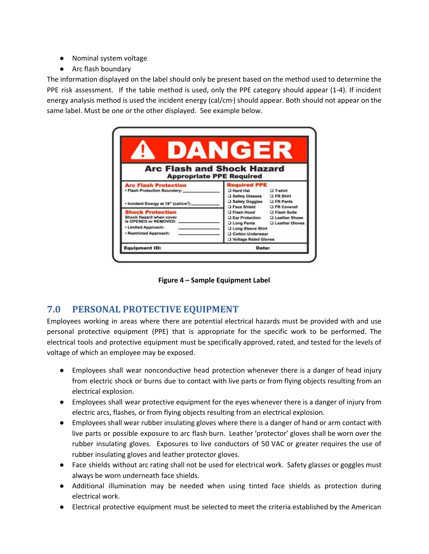- Nominal system voltage
- Arc flash boundary

The information displayed on the label should only be present based on the method used to determine the PPE risk assessment. If the table method is used, only the PPE category should appear (1-4). If incident energy analysis method is used the incident energy (cal/cm<sup>2</sup>) should appear. Both should not appear on the same label. Must be one or the other displayed. See example below.

| DANGER                            |                                                                                                                                                                                                      |
|-----------------------------------|------------------------------------------------------------------------------------------------------------------------------------------------------------------------------------------------------|
| <b>Arc Flash and Shock Hazard</b> |                                                                                                                                                                                                      |
|                                   |                                                                                                                                                                                                      |
|                                   | <b>D</b> T-shirt                                                                                                                                                                                     |
|                                   |                                                                                                                                                                                                      |
|                                   | <b>D</b> FR Coverall                                                                                                                                                                                 |
|                                   |                                                                                                                                                                                                      |
|                                   | <b>Q Ear Protection Q Leather Shoes</b>                                                                                                                                                              |
| Long Pants                        | <b>Q</b> Leather Gloves                                                                                                                                                                              |
| Long Sleeve Shirt                 |                                                                                                                                                                                                      |
| <b>Q</b> Cotton Underwear         |                                                                                                                                                                                                      |
| <b>Q Voltage Rated Gloves</b>     |                                                                                                                                                                                                      |
|                                   | <b>Appropriate PPE Required</b><br><b>Required PPE</b><br><b>CI Hard Hat</b><br>Q Safety Glasses Q FR Shirt<br>□ Safety Goggles □ FR Pants<br><b>Excessible Shield</b><br>□ Flash Hood □ Flash Suite |

**Figure 4 – Sample Equipment Label**

# <span id="page-20-0"></span>**7.0 PERSONAL PROTECTIVE EQUIPMENT**

Employees working in areas where there are potential electrical hazards must be provided with and use personal protective equipment (PPE) that is appropriate for the specific work to be performed. The electrical tools and protective equipment must be specifically approved, rated, and tested for the levels of voltage of which an employee may be exposed.

- Employees shall wear nonconductive head protection whenever there is a danger of head injury from electric shock or burns due to contact with live parts or from flying objects resulting from an electrical explosion.
- Employees shall wear protective equipment for the eyes whenever there is a danger of injury from electric arcs, flashes, or from flying objects resulting from an electrical explosion.
- Employees shall wear rubber insulating gloves where there is a danger of hand or arm contact with live parts or possible exposure to arc flash burn. Leather 'protector' gloves shall be worn over the rubber insulating gloves. Exposures to live conductors of 50 VAC or greater requires the use of rubber insulating gloves and leather protector gloves.
- Face shields without arc rating shall not be used for electrical work. Safety glasses or goggles must always be worn underneath face shields.
- Additional illumination may be needed when using tinted face shields as protection during electrical work.
- Electrical protective equipment must be selected to meet the criteria established by the American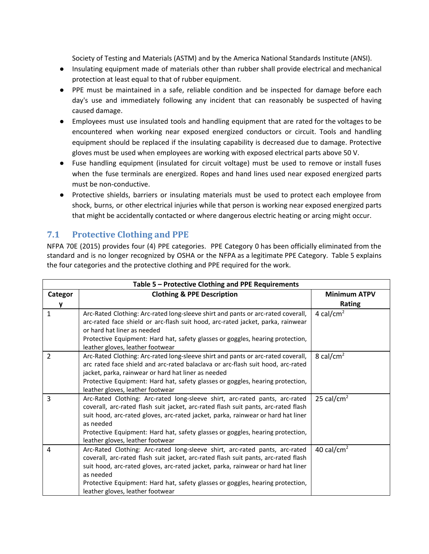Society of Testing and Materials (ASTM) and by the America National Standards Institute (ANSI).

- Insulating equipment made of materials other than rubber shall provide electrical and mechanical protection at least equal to that of rubber equipment.
- PPE must be maintained in a safe, reliable condition and be inspected for damage before each day's use and immediately following any incident that can reasonably be suspected of having caused damage.
- Employees must use insulated tools and handling equipment that are rated for the voltages to be encountered when working near exposed energized conductors or circuit. Tools and handling equipment should be replaced if the insulating capability is decreased due to damage. Protective gloves must be used when employees are working with exposed electrical parts above 50 V.
- Fuse handling equipment (insulated for circuit voltage) must be used to remove or install fuses when the fuse terminals are energized. Ropes and hand lines used near exposed energized parts must be non-conductive.
- Protective shields, barriers or insulating materials must be used to protect each employee from shock, burns, or other electrical injuries while that person is working near exposed energized parts that might be accidentally contacted or where dangerous electric heating or arcing might occur.

# <span id="page-21-0"></span>**7.1 Protective Clothing and PPE**

NFPA 70E (2015) provides four (4) PPE categories. PPE Category 0 has been officially eliminated from the standard and is no longer recognized by OSHA or the NFPA as a legitimate PPE Category. Table 5 explains the four categories and the protective clothing and PPE required for the work.

| Table 5 - Protective Clothing and PPE Requirements |                                                                                                                                                                                                                                                                                                                                                                                          |                        |  |
|----------------------------------------------------|------------------------------------------------------------------------------------------------------------------------------------------------------------------------------------------------------------------------------------------------------------------------------------------------------------------------------------------------------------------------------------------|------------------------|--|
| Categor                                            | <b>Clothing &amp; PPE Description</b>                                                                                                                                                                                                                                                                                                                                                    | <b>Minimum ATPV</b>    |  |
|                                                    |                                                                                                                                                                                                                                                                                                                                                                                          | <b>Rating</b>          |  |
| 1                                                  | Arc-Rated Clothing: Arc-rated long-sleeve shirt and pants or arc-rated coverall,<br>arc-rated face shield or arc-flash suit hood, arc-rated jacket, parka, rainwear<br>or hard hat liner as needed<br>Protective Equipment: Hard hat, safety glasses or goggles, hearing protection,<br>leather gloves, leather footwear                                                                 | 4 cal/cm <sup>2</sup>  |  |
| $\overline{2}$                                     | Arc-Rated Clothing: Arc-rated long-sleeve shirt and pants or arc-rated coverall,<br>arc rated face shield and arc-rated balaclava or arc-flash suit hood, arc-rated<br>jacket, parka, rainwear or hard hat liner as needed<br>Protective Equipment: Hard hat, safety glasses or goggles, hearing protection,<br>leather gloves, leather footwear                                         | 8 cal/cm <sup>2</sup>  |  |
| 3                                                  | Arc-Rated Clothing: Arc-rated long-sleeve shirt, arc-rated pants, arc-rated<br>coverall, arc-rated flash suit jacket, arc-rated flash suit pants, arc-rated flash<br>suit hood, arc-rated gloves, arc-rated jacket, parka, rainwear or hard hat liner<br>as needed<br>Protective Equipment: Hard hat, safety glasses or goggles, hearing protection,<br>leather gloves, leather footwear | 25 cal/cm <sup>2</sup> |  |
| $\overline{4}$                                     | Arc-Rated Clothing: Arc-rated long-sleeve shirt, arc-rated pants, arc-rated<br>coverall, arc-rated flash suit jacket, arc-rated flash suit pants, arc-rated flash<br>suit hood, arc-rated gloves, arc-rated jacket, parka, rainwear or hard hat liner<br>as needed<br>Protective Equipment: Hard hat, safety glasses or goggles, hearing protection,<br>leather gloves, leather footwear | 40 cal/cm <sup>2</sup> |  |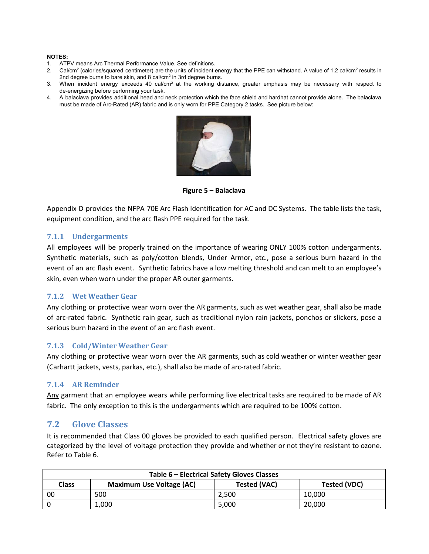#### **NOTES:**

- 1. ATPV means Arc Thermal Performance Value. See definitions.
- 2. Cal/cm<sup>2</sup> (calories/squared centimeter) are the units of incident energy that the PPE can withstand. A value of 1.2 cal/cm<sup>2</sup> results in 2nd degree burns to bare skin, and 8 cal/cm<sup>2</sup> in 3rd degree burns.
- 3. When incident energy exceeds 40 cal/cm² at the working distance, greater emphasis may be necessary with respect to de-energizing before performing your task.
- 4. A balaclava provides additional head and neck protection which the face shield and hardhat cannot provide alone. The balaclava must be made of Arc-Rated (AR) fabric and is only worn for PPE Category 2 tasks. See picture below:



**Figure 5 – Balaclava**

Appendix D provides the NFPA 70E Arc Flash Identification for AC and DC Systems. The table lists the task, equipment condition, and the arc flash PPE required for the task.

#### <span id="page-22-0"></span>**7.1.1 Undergarments**

All employees will be properly trained on the importance of wearing ONLY 100% cotton undergarments. Synthetic materials, such as poly/cotton blends, Under Armor, etc., pose a serious burn hazard in the event of an arc flash event. Synthetic fabrics have a low melting threshold and can melt to an employee's skin, even when worn under the proper AR outer garments.

#### <span id="page-22-1"></span>**7.1.2 Wet Weather Gear**

Any clothing or protective wear worn over the AR garments, such as wet weather gear, shall also be made of arc-rated fabric. Synthetic rain gear, such as traditional nylon rain jackets, ponchos or slickers, pose a serious burn hazard in the event of an arc flash event.

#### <span id="page-22-2"></span>**7.1.3 Cold/Winter Weather Gear**

Any clothing or protective wear worn over the AR garments, such as cold weather or winter weather gear (Carhartt jackets, vests, parkas, etc.), shall also be made of arc-rated fabric.

#### <span id="page-22-3"></span>**7.1.4 AR Reminder**

Any garment that an employee wears while performing live electrical tasks are required to be made of AR fabric. The only exception to this is the undergarments which are required to be 100% cotton.

#### <span id="page-22-4"></span>**7.2 Glove Classes**

It is recommended that Class 00 gloves be provided to each qualified person. Electrical safety gloves are categorized by the level of voltage protection they provide and whether or not they're resistant to ozone. Refer to Table 6.

| Table 6 - Electrical Safety Gloves Classes |                                 |                     |                     |
|--------------------------------------------|---------------------------------|---------------------|---------------------|
| <b>Class</b>                               | <b>Maximum Use Voltage (AC)</b> | <b>Tested (VAC)</b> | <b>Tested (VDC)</b> |
| 00                                         | 500                             | 2.500               | 10.000              |
|                                            | 1.000                           | 5.000               | 20,000              |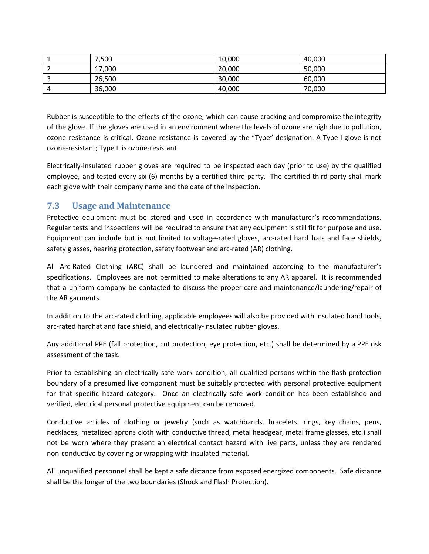| 7,500  | 10,000 | 40,000 |
|--------|--------|--------|
| 17,000 | 20,000 | 50,000 |
| 26,500 | 30,000 | 60,000 |
| 36,000 | 40,000 | 70,000 |

Rubber is susceptible to the effects of the ozone, which can cause cracking and compromise the integrity of the glove. If the gloves are used in an environment where the levels of ozone are high due to pollution, ozone resistance is critical. Ozone resistance is covered by the "Type" designation. A Type I glove is not ozone-resistant; Type II is ozone-resistant.

Electrically-insulated rubber gloves are required to be inspected each day (prior to use) by the qualified employee, and tested every six (6) months by a certified third party. The certified third party shall mark each glove with their company name and the date of the inspection.

# <span id="page-23-0"></span>**7.3 Usage and Maintenance**

Protective equipment must be stored and used in accordance with manufacturer's recommendations. Regular tests and inspections will be required to ensure that any equipment is still fit for purpose and use. Equipment can include but is not limited to voltage-rated gloves, arc-rated hard hats and face shields, safety glasses, hearing protection, safety footwear and arc-rated (AR) clothing.

All Arc-Rated Clothing (ARC) shall be laundered and maintained according to the manufacturer's specifications. Employees are not permitted to make alterations to any AR apparel. It is recommended that a uniform company be contacted to discuss the proper care and maintenance/laundering/repair of the AR garments.

In addition to the arc-rated clothing, applicable employees will also be provided with insulated hand tools, arc-rated hardhat and face shield, and electrically-insulated rubber gloves.

Any additional PPE (fall protection, cut protection, eye protection, etc.) shall be determined by a PPE risk assessment of the task.

Prior to establishing an electrically safe work condition, all qualified persons within the flash protection boundary of a presumed live component must be suitably protected with personal protective equipment for that specific hazard category. Once an electrically safe work condition has been established and verified, electrical personal protective equipment can be removed.

Conductive articles of clothing or jewelry (such as watchbands, bracelets, rings, key chains, pens, necklaces, metalized aprons cloth with conductive thread, metal headgear, metal frame glasses, etc.) shall not be worn where they present an electrical contact hazard with live parts, unless they are rendered non-conductive by covering or wrapping with insulated material.

All unqualified personnel shall be kept a safe distance from exposed energized components. Safe distance shall be the longer of the two boundaries (Shock and Flash Protection).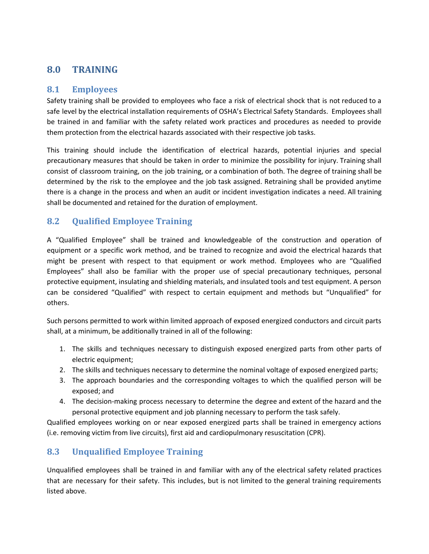# <span id="page-24-0"></span>**8.0 TRAINING**

# <span id="page-24-1"></span>**8.1 Employees**

Safety training shall be provided to employees who face a risk of electrical shock that is not reduced to a safe level by the electrical installation requirements of OSHA's Electrical Safety Standards. Employees shall be trained in and familiar with the safety related work practices and procedures as needed to provide them protection from the electrical hazards associated with their respective job tasks.

This training should include the identification of electrical hazards, potential injuries and special precautionary measures that should be taken in order to minimize the possibility for injury. Training shall consist of classroom training, on the job training, or a combination of both. The degree of training shall be determined by the risk to the employee and the job task assigned. Retraining shall be provided anytime there is a change in the process and when an audit or incident investigation indicates a need. All training shall be documented and retained for the duration of employment.

# <span id="page-24-2"></span>**8.2 Qualified Employee Training**

A "Qualified Employee" shall be trained and knowledgeable of the construction and operation of equipment or a specific work method, and be trained to recognize and avoid the electrical hazards that might be present with respect to that equipment or work method. Employees who are "Qualified Employees" shall also be familiar with the proper use of special precautionary techniques, personal protective equipment, insulating and shielding materials, and insulated tools and test equipment. A person can be considered "Qualified" with respect to certain equipment and methods but "Unqualified" for others.

Such persons permitted to work within limited approach of exposed energized conductors and circuit parts shall, at a minimum, be additionally trained in all of the following:

- 1. The skills and techniques necessary to distinguish exposed energized parts from other parts of electric equipment;
- 2. The skills and techniques necessary to determine the nominal voltage of exposed energized parts;
- 3. The approach boundaries and the corresponding voltages to which the qualified person will be exposed; and
- 4. The decision-making process necessary to determine the degree and extent of the hazard and the personal protective equipment and job planning necessary to perform the task safely.

Qualified employees working on or near exposed energized parts shall be trained in emergency actions (i.e. removing victim from live circuits), first aid and cardiopulmonary resuscitation (CPR).

# <span id="page-24-3"></span>**8.3 Unqualified Employee Training**

Unqualified employees shall be trained in and familiar with any of the electrical safety related practices that are necessary for their safety. This includes, but is not limited to the general training requirements listed above.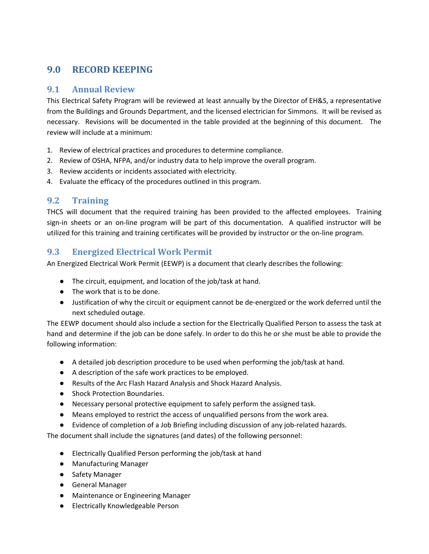# <span id="page-25-0"></span>**9.0 RECORD KEEPING**

# <span id="page-25-1"></span>**9.1 Annual Review**

This Electrical Safety Program will be reviewed at least annually by the Director of EH&S, a representative from the Buildings and Grounds Department, and the licensed electrician for Simmons. It will be revised as necessary. Revisions will be documented in the table provided at the beginning of this document. The review will include at a minimum:

- 1. Review of electrical practices and procedures to determine compliance.
- 2. Review of OSHA, NFPA, and/or industry data to help improve the overall program.
- 3. Review accidents or incidents associated with electricity.
- 4. Evaluate the efficacy of the procedures outlined in this program.

# <span id="page-25-2"></span>**9.2 Training**

THCS will document that the required training has been provided to the affected employees. Training sign-in sheets or an on-line program will be part of this documentation. A qualified instructor will be utilized for this training and training certificates will be provided by instructor or the on-line program.

# <span id="page-25-3"></span>**9.3 Energized Electrical Work Permit**

An Energized Electrical Work Permit (EEWP) is a document that clearly describes the following:

- The circuit, equipment, and location of the job/task at hand.
- The work that is to be done.
- Justification of why the circuit or equipment cannot be de-energized or the work deferred until the next scheduled outage.

The EEWP document should also include a section for the Electrically Qualified Person to assess the task at hand and determine if the job can be done safely. In order to do this he or she must be able to provide the following information:

- A detailed job description procedure to be used when performing the job/task at hand.
- A description of the safe work practices to be employed.
- Results of the Arc Flash Hazard Analysis and Shock Hazard Analysis.
- Shock Protection Boundaries.
- Necessary personal protective equipment to safely perform the assigned task.
- Means employed to restrict the access of unqualified persons from the work area.
- Evidence of completion of a Job Briefing including discussion of any job-related hazards.

The document shall include the signatures (and dates) of the following personnel:

- Electrically Qualified Person performing the job/task at hand
- Manufacturing Manager
- Safety Manager
- General Manager
- Maintenance or Engineering Manager
- Electrically Knowledgeable Person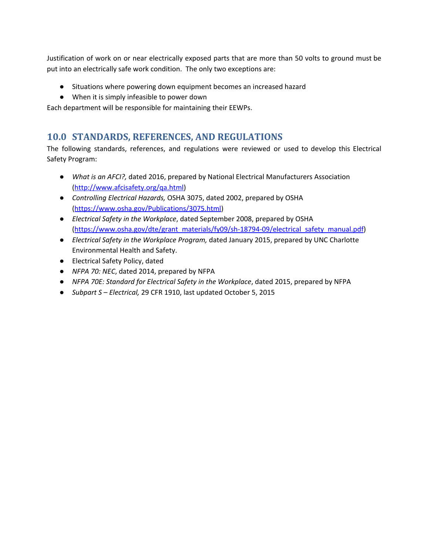Justification of work on or near electrically exposed parts that are more than 50 volts to ground must be put into an electrically safe work condition. The only two exceptions are:

- Situations where powering down equipment becomes an increased hazard
- When it is simply infeasible to power down

Each department will be responsible for maintaining their EEWPs.

# <span id="page-26-0"></span>**10.0 STANDARDS, REFERENCES, AND REGULATIONS**

The following standards, references, and regulations were reviewed or used to develop this Electrical Safety Program:

- *What is an AFCI?,* dated 2016, prepared by National Electrical Manufacturers Association [\(http://www.afcisafety.org/qa.html](http://www.afcisafety.org/qa.html))
- *Controlling Electrical Hazards,* OSHA 3075, dated 2002, prepared by OSHA [\(https://www.osha.gov/Publications/3075.html\)](https://www.osha.gov/Publications/3075.html)
- *Electrical Safety in the Workplace*, dated September 2008, prepared by OSHA [\(https://www.osha.gov/dte/grant\\_materials/fy09/sh-18794-09/electrical\\_safety\\_manual.pdf](https://www.osha.gov/dte/grant_materials/fy09/sh-18794-09/electrical_safety_manual.pdf))
- *Electrical Safety in the Workplace Program,* dated January 2015, prepared by UNC Charlotte Environmental Health and Safety.
- Electrical Safety Policy, dated
- *NFPA 70: NEC*, dated 2014, prepared by NFPA
- *NFPA 70E: Standard for Electrical Safety in the Workplace*, dated 2015, prepared by NFPA
- *Subpart S – Electrical,* 29 CFR 1910, last updated October 5, 2015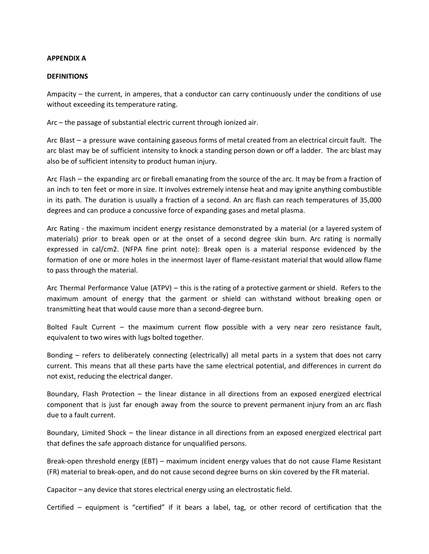#### **APPENDIX A**

#### **DEFINITIONS**

Ampacity – the current, in amperes, that a conductor can carry continuously under the conditions of use without exceeding its temperature rating.

Arc – the passage of substantial electric current through ionized air.

Arc Blast – a pressure wave containing gaseous forms of metal created from an electrical circuit fault. The arc blast may be of sufficient intensity to knock a standing person down or off a ladder. The arc blast may also be of sufficient intensity to product human injury.

Arc Flash – the expanding arc or fireball emanating from the source of the arc. It may be from a fraction of an inch to ten feet or more in size. It involves extremely intense heat and may ignite anything combustible in its path. The duration is usually a fraction of a second. An arc flash can reach temperatures of 35,000 degrees and can produce a concussive force of expanding gases and metal plasma.

Arc Rating - the maximum incident energy resistance demonstrated by a material (or a layered system of materials) prior to break open or at the onset of a second degree skin burn. Arc rating is normally expressed in cal/cm2. (NFPA fine print note): Break open is a material response evidenced by the formation of one or more holes in the innermost layer of flame-resistant material that would allow flame to pass through the material.

Arc Thermal Performance Value (ATPV) – this is the rating of a protective garment or shield. Refers to the maximum amount of energy that the garment or shield can withstand without breaking open or transmitting heat that would cause more than a second-degree burn.

Bolted Fault Current – the maximum current flow possible with a very near zero resistance fault, equivalent to two wires with lugs bolted together.

Bonding – refers to deliberately connecting (electrically) all metal parts in a system that does not carry current. This means that all these parts have the same electrical potential, and differences in current do not exist, reducing the electrical danger.

Boundary, Flash Protection – the linear distance in all directions from an exposed energized electrical component that is just far enough away from the source to prevent permanent injury from an arc flash due to a fault current.

Boundary, Limited Shock – the linear distance in all directions from an exposed energized electrical part that defines the safe approach distance for unqualified persons.

Break-open threshold energy (EBT) – maximum incident energy values that do not cause Flame Resistant (FR) material to break-open, and do not cause second degree burns on skin covered by the FR material.

Capacitor – any device that stores electrical energy using an electrostatic field.

Certified – equipment is "certified" if it bears a label, tag, or other record of certification that the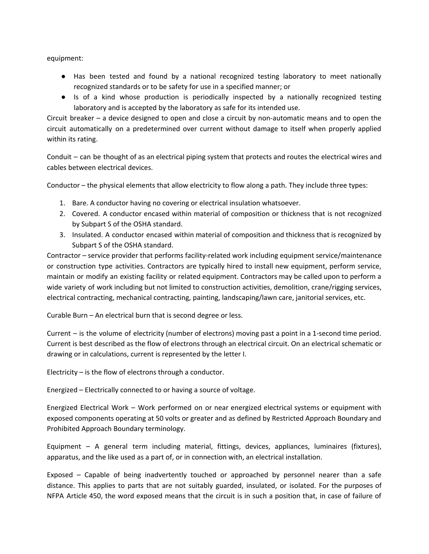equipment:

- **●** Has been tested and found by a national recognized testing laboratory to meet nationally recognized standards or to be safety for use in a specified manner; or
- **●** Is of a kind whose production is periodically inspected by a nationally recognized testing laboratory and is accepted by the laboratory as safe for its intended use.

Circuit breaker – a device designed to open and close a circuit by non-automatic means and to open the circuit automatically on a predetermined over current without damage to itself when properly applied within its rating.

Conduit – can be thought of as an electrical piping system that protects and routes the electrical wires and cables between electrical devices.

Conductor – the physical elements that allow electricity to flow along a path. They include three types:

- 1. Bare. A conductor having no covering or electrical insulation whatsoever.
- 2. Covered. A conductor encased within material of composition or thickness that is not recognized by Subpart S of the OSHA standard.
- 3. Insulated. A conductor encased within material of composition and thickness that is recognized by Subpart S of the OSHA standard.

Contractor – service provider that performs facility-related work including equipment service/maintenance or construction type activities. Contractors are typically hired to install new equipment, perform service, maintain or modify an existing facility or related equipment. Contractors may be called upon to perform a wide variety of work including but not limited to construction activities, demolition, crane/rigging services, electrical contracting, mechanical contracting, painting, landscaping/lawn care, janitorial services, etc.

Curable Burn – An electrical burn that is second degree or less.

Current – is the volume of electricity (number of electrons) moving past a point in a 1-second time period. Current is best described as the flow of electrons through an electrical circuit. On an electrical schematic or drawing or in calculations, current is represented by the letter I.

Electricity – is the flow of electrons through a conductor.

Energized – Electrically connected to or having a source of voltage.

Energized Electrical Work – Work performed on or near energized electrical systems or equipment with exposed components operating at 50 volts or greater and as defined by Restricted Approach Boundary and Prohibited Approach Boundary terminology.

Equipment – A general term including material, fittings, devices, appliances, luminaires (fixtures), apparatus, and the like used as a part of, or in connection with, an electrical installation.

Exposed – Capable of being inadvertently touched or approached by personnel nearer than a safe distance. This applies to parts that are not suitably guarded, insulated, or isolated. For the purposes of NFPA Article 450, the word exposed means that the circuit is in such a position that, in case of failure of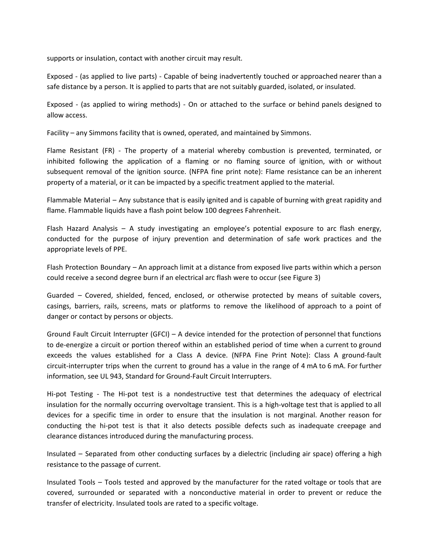supports or insulation, contact with another circuit may result.

Exposed - (as applied to live parts) - Capable of being inadvertently touched or approached nearer than a safe distance by a person. It is applied to parts that are not suitably guarded, isolated, or insulated.

Exposed - (as applied to wiring methods) - On or attached to the surface or behind panels designed to allow access.

Facility – any Simmons facility that is owned, operated, and maintained by Simmons.

Flame Resistant (FR) - The property of a material whereby combustion is prevented, terminated, or inhibited following the application of a flaming or no flaming source of ignition, with or without subsequent removal of the ignition source. (NFPA fine print note): Flame resistance can be an inherent property of a material, or it can be impacted by a specific treatment applied to the material.

Flammable Material – Any substance that is easily ignited and is capable of burning with great rapidity and flame. Flammable liquids have a flash point below 100 degrees Fahrenheit.

Flash Hazard Analysis – A study investigating an employee's potential exposure to arc flash energy, conducted for the purpose of injury prevention and determination of safe work practices and the appropriate levels of PPE.

Flash Protection Boundary – An approach limit at a distance from exposed live parts within which a person could receive a second degree burn if an electrical arc flash were to occur (see Figure 3)

Guarded – Covered, shielded, fenced, enclosed, or otherwise protected by means of suitable covers, casings, barriers, rails, screens, mats or platforms to remove the likelihood of approach to a point of danger or contact by persons or objects.

Ground Fault Circuit Interrupter (GFCI) – A device intended for the protection of personnel that functions to de-energize a circuit or portion thereof within an established period of time when a current to ground exceeds the values established for a Class A device. (NFPA Fine Print Note): Class A ground-fault circuit-interrupter trips when the current to ground has a value in the range of 4 mA to 6 mA. For further information, see UL 943, Standard for Ground-Fault Circuit Interrupters.

Hi-pot Testing - The Hi-pot test is a nondestructive test that determines the adequacy of electrical insulation for the normally occurring overvoltage transient. This is a high-voltage test that is applied to all devices for a specific time in order to ensure that the insulation is not marginal. Another reason for conducting the hi-pot test is that it also detects possible defects such as inadequate creepage and clearance distances introduced during the manufacturing process.

Insulated – Separated from other conducting surfaces by a dielectric (including air space) offering a high resistance to the passage of current.

Insulated Tools – Tools tested and approved by the manufacturer for the rated voltage or tools that are covered, surrounded or separated with a nonconductive material in order to prevent or reduce the transfer of electricity. Insulated tools are rated to a specific voltage.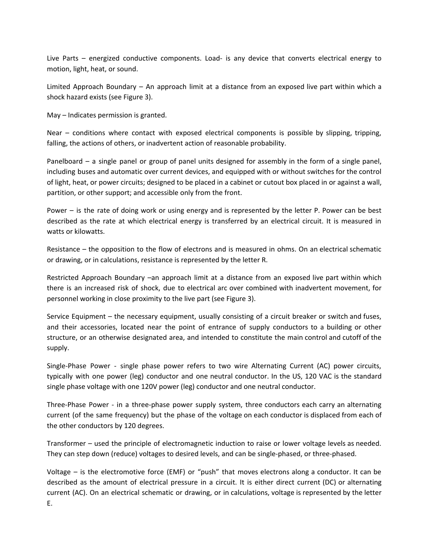Live Parts – energized conductive components. Load- is any device that converts electrical energy to motion, light, heat, or sound.

Limited Approach Boundary – An approach limit at a distance from an exposed live part within which a shock hazard exists (see Figure 3).

May – Indicates permission is granted.

Near – conditions where contact with exposed electrical components is possible by slipping, tripping, falling, the actions of others, or inadvertent action of reasonable probability.

Panelboard – a single panel or group of panel units designed for assembly in the form of a single panel, including buses and automatic over current devices, and equipped with or without switches for the control of light, heat, or power circuits; designed to be placed in a cabinet or cutout box placed in or against a wall, partition, or other support; and accessible only from the front.

Power – is the rate of doing work or using energy and is represented by the letter P. Power can be best described as the rate at which electrical energy is transferred by an electrical circuit. It is measured in watts or kilowatts.

Resistance – the opposition to the flow of electrons and is measured in ohms. On an electrical schematic or drawing, or in calculations, resistance is represented by the letter R.

Restricted Approach Boundary –an approach limit at a distance from an exposed live part within which there is an increased risk of shock, due to electrical arc over combined with inadvertent movement, for personnel working in close proximity to the live part (see Figure 3).

Service Equipment – the necessary equipment, usually consisting of a circuit breaker or switch and fuses, and their accessories, located near the point of entrance of supply conductors to a building or other structure, or an otherwise designated area, and intended to constitute the main control and cutoff of the supply.

Single-Phase Power - single phase power refers to two wire Alternating Current (AC) power circuits, typically with one power (leg) conductor and one neutral conductor. In the US, 120 VAC is the standard single phase voltage with one 120V power (leg) conductor and one neutral conductor.

Three-Phase Power - in a three-phase power supply system, three conductors each carry an alternating current (of the same frequency) but the phase of the voltage on each conductor is displaced from each of the other conductors by 120 degrees.

Transformer – used the principle of electromagnetic induction to raise or lower voltage levels as needed. They can step down (reduce) voltages to desired levels, and can be single-phased, or three-phased.

Voltage – is the electromotive force (EMF) or "push" that moves electrons along a conductor. It can be described as the amount of electrical pressure in a circuit. It is either direct current (DC) or alternating current (AC). On an electrical schematic or drawing, or in calculations, voltage is represented by the letter E.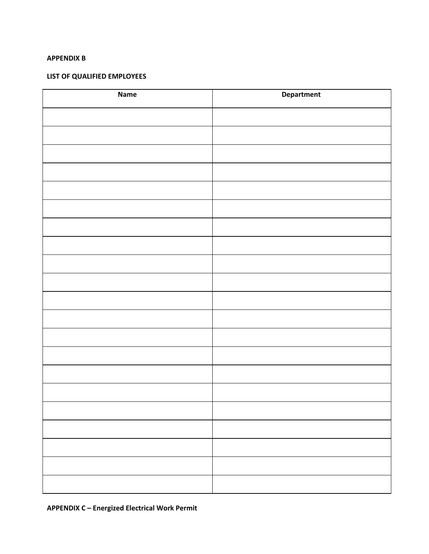#### **APPENDIX B**

### **LIST OF QUALIFIED EMPLOYEES**

| <b>Name</b> | Department |
|-------------|------------|
|             |            |
|             |            |
|             |            |
|             |            |
|             |            |
|             |            |
|             |            |
|             |            |
|             |            |
|             |            |
|             |            |
|             |            |
|             |            |
|             |            |
|             |            |
|             |            |
|             |            |
|             |            |
|             |            |
|             |            |
|             |            |

**APPENDIX C – Energized Electrical Work Permit**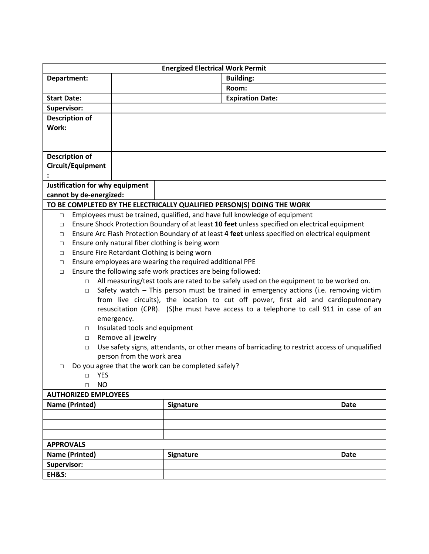| <b>Energized Electrical Work Permit</b>                                                                    |                               |                  |                         |  |             |
|------------------------------------------------------------------------------------------------------------|-------------------------------|------------------|-------------------------|--|-------------|
| Department:                                                                                                |                               |                  | <b>Building:</b>        |  |             |
|                                                                                                            |                               |                  | Room:                   |  |             |
| <b>Start Date:</b>                                                                                         |                               |                  | <b>Expiration Date:</b> |  |             |
| Supervisor:                                                                                                |                               |                  |                         |  |             |
| <b>Description of</b>                                                                                      |                               |                  |                         |  |             |
| Work:                                                                                                      |                               |                  |                         |  |             |
|                                                                                                            |                               |                  |                         |  |             |
|                                                                                                            |                               |                  |                         |  |             |
| <b>Description of</b>                                                                                      |                               |                  |                         |  |             |
| Circuit/Equipment                                                                                          |                               |                  |                         |  |             |
|                                                                                                            |                               |                  |                         |  |             |
| Justification for why equipment                                                                            |                               |                  |                         |  |             |
| cannot by de-energized:                                                                                    |                               |                  |                         |  |             |
| TO BE COMPLETED BY THE ELECTRICALLY QUALIFIED PERSON(S) DOING THE WORK                                     |                               |                  |                         |  |             |
| Employees must be trained, qualified, and have full knowledge of equipment<br>$\Box$                       |                               |                  |                         |  |             |
| Ensure Shock Protection Boundary of at least 10 feet unless specified on electrical equipment<br>$\Box$    |                               |                  |                         |  |             |
| Ensure Arc Flash Protection Boundary of at least 4 feet unless specified on electrical equipment<br>$\Box$ |                               |                  |                         |  |             |
| Ensure only natural fiber clothing is being worn<br>$\Box$                                                 |                               |                  |                         |  |             |
| Ensure Fire Retardant Clothing is being worn<br>$\Box$                                                     |                               |                  |                         |  |             |
| Ensure employees are wearing the required additional PPE<br>$\Box$                                         |                               |                  |                         |  |             |
| Ensure the following safe work practices are being followed:<br>$\Box$                                     |                               |                  |                         |  |             |
| All measuring/test tools are rated to be safely used on the equipment to be worked on.<br>$\Box$           |                               |                  |                         |  |             |
| Safety watch - This person must be trained in emergency actions (i.e. removing victim<br>$\Box$            |                               |                  |                         |  |             |
| from live circuits), the location to cut off power, first aid and cardiopulmonary                          |                               |                  |                         |  |             |
| resuscitation (CPR). (S)he must have access to a telephone to call 911 in case of an                       |                               |                  |                         |  |             |
|                                                                                                            | emergency.                    |                  |                         |  |             |
| $\Box$                                                                                                     | Insulated tools and equipment |                  |                         |  |             |
|                                                                                                            | Remove all jewelry<br>$\Box$  |                  |                         |  |             |
| Use safety signs, attendants, or other means of barricading to restrict access of unqualified<br>$\Box$    |                               |                  |                         |  |             |
| person from the work area                                                                                  |                               |                  |                         |  |             |
| Do you agree that the work can be completed safely?<br>$\Box$                                              |                               |                  |                         |  |             |
| □ YES<br><b>NO</b><br>$\Box$                                                                               |                               |                  |                         |  |             |
| <b>AUTHORIZED EMPLOYEES</b>                                                                                |                               |                  |                         |  |             |
| <b>Name (Printed)</b>                                                                                      |                               | <b>Signature</b> |                         |  | <b>Date</b> |
|                                                                                                            |                               |                  |                         |  |             |
|                                                                                                            |                               |                  |                         |  |             |
|                                                                                                            |                               |                  |                         |  |             |
| <b>APPROVALS</b>                                                                                           |                               |                  |                         |  |             |
| <b>Name (Printed)</b>                                                                                      |                               |                  |                         |  | <b>Date</b> |
| Supervisor:                                                                                                |                               | Signature        |                         |  |             |
|                                                                                                            |                               |                  |                         |  |             |
| <b>EH&amp;S:</b>                                                                                           |                               |                  |                         |  |             |